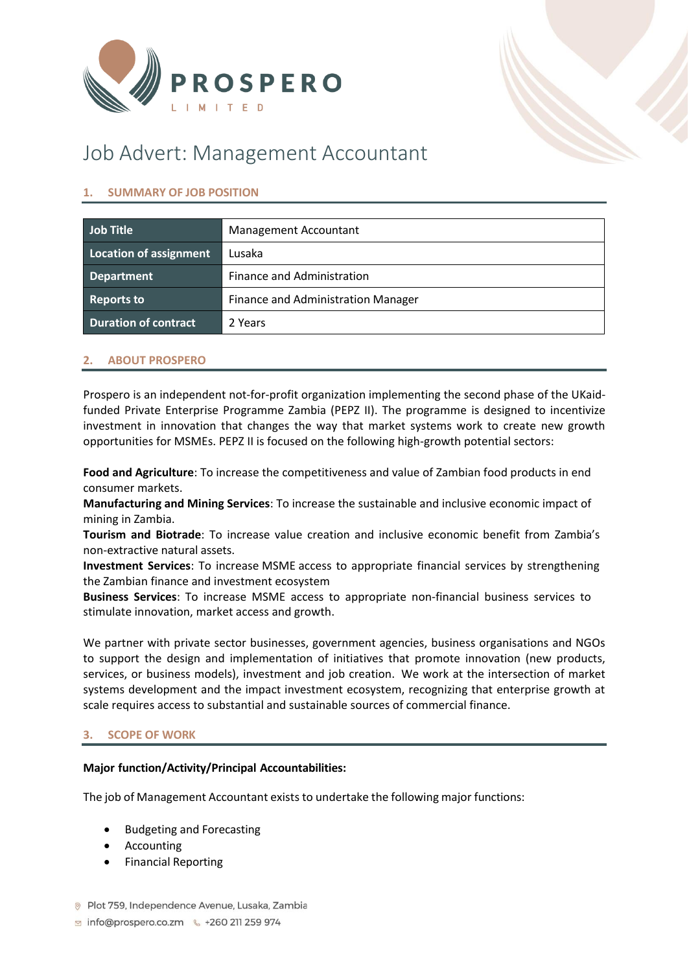

# Job Advert: Management Accountant

## **1. SUMMARY OF JOB POSITION**

| Job Title                     | Management Accountant              |
|-------------------------------|------------------------------------|
| <b>Location of assignment</b> | Lusaka                             |
| <b>Department</b>             | Finance and Administration         |
| <b>Reports to</b>             | Finance and Administration Manager |
| <b>Duration of contract</b>   | 2 Years                            |

## **2. ABOUT PROSPERO**

Prospero is an independent not-for-profit organization implementing the second phase of the UKaidfunded Private Enterprise Programme Zambia (PEPZ II). The programme is designed to incentivize investment in innovation that changes the way that market systems work to create new growth opportunities for MSMEs. PEPZ II is focused on the following high-growth potential sectors:

**Food and Agriculture**: To increase the competitiveness and value of Zambian food products in end consumer markets.

**Manufacturing and Mining Services**: To increase the sustainable and inclusive economic impact of mining in Zambia.

**Tourism and Biotrade**: To increase value creation and inclusive economic benefit from Zambia's non-extractive natural assets.

**Investment Services**: To increase MSME access to appropriate financial services by strengthening the Zambian finance and investment ecosystem

**Business Services**: To increase MSME access to appropriate non-financial business services to stimulate innovation, market access and growth.

We partner with private sector businesses, government agencies, business organisations and NGOs to support the design and implementation of initiatives that promote innovation (new products, services, or business models), investment and job creation. We work at the intersection of market systems development and the impact investment ecosystem, recognizing that enterprise growth at scale requires access to substantial and sustainable sources of commercial finance.

## **3. SCOPE OF WORK**

## **Major function/Activity/Principal Accountabilities:**

The job of Management Accountant exists to undertake the following major functions:

- Budgeting and Forecasting
- **Accounting**
- Financial Reporting
- <sup>®</sup> Plot 759, Independence Avenue, Lusaka, Zambia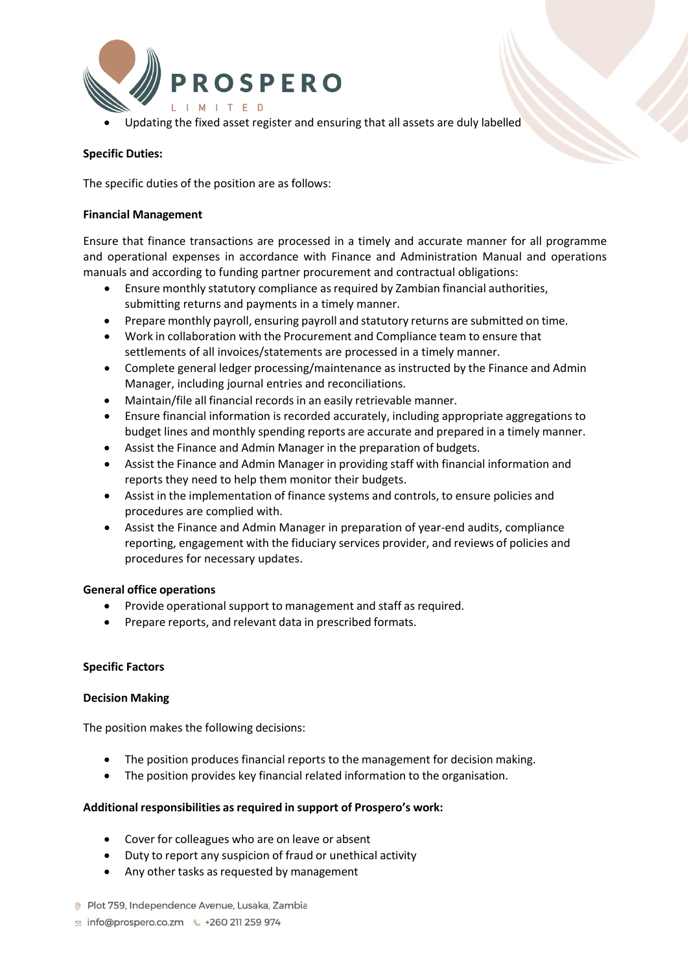

• Updating the fixed asset register and ensuring that all assets are duly labelled

#### **Specific Duties:**

The specific duties of the position are as follows:

#### **Financial Management**

Ensure that finance transactions are processed in a timely and accurate manner for all programme and operational expenses in accordance with Finance and Administration Manual and operations manuals and according to funding partner procurement and contractual obligations:

- Ensure monthly statutory compliance as required by Zambian financial authorities, submitting returns and payments in a timely manner.
- Prepare monthly payroll, ensuring payroll and statutory returns are submitted on time.
- Work in collaboration with the Procurement and Compliance team to ensure that settlements of all invoices/statements are processed in a timely manner.
- Complete general ledger processing/maintenance as instructed by the Finance and Admin Manager, including journal entries and reconciliations.
- Maintain/file all financial records in an easily retrievable manner.
- Ensure financial information is recorded accurately, including appropriate aggregations to budget lines and monthly spending reports are accurate and prepared in a timely manner.
- Assist the Finance and Admin Manager in the preparation of budgets.
- Assist the Finance and Admin Manager in providing staff with financial information and reports they need to help them monitor their budgets.
- Assist in the implementation of finance systems and controls, to ensure policies and procedures are complied with.
- Assist the Finance and Admin Manager in preparation of year-end audits, compliance reporting, engagement with the fiduciary services provider, and reviews of policies and procedures for necessary updates.

## **General office operations**

- Provide operational support to management and staff as required.
- Prepare reports, and relevant data in prescribed formats.

## **Specific Factors**

## **Decision Making**

The position makes the following decisions:

- The position produces financial reports to the management for decision making.
- The position provides key financial related information to the organisation.

## **Additional responsibilities as required in support of Prospero's work:**

- Cover for colleagues who are on leave or absent
- Duty to report any suspicion of fraud or unethical activity
- Any other tasks as requested by management
- <sup>®</sup> Plot 759, Independence Avenue, Lusaka, Zambia